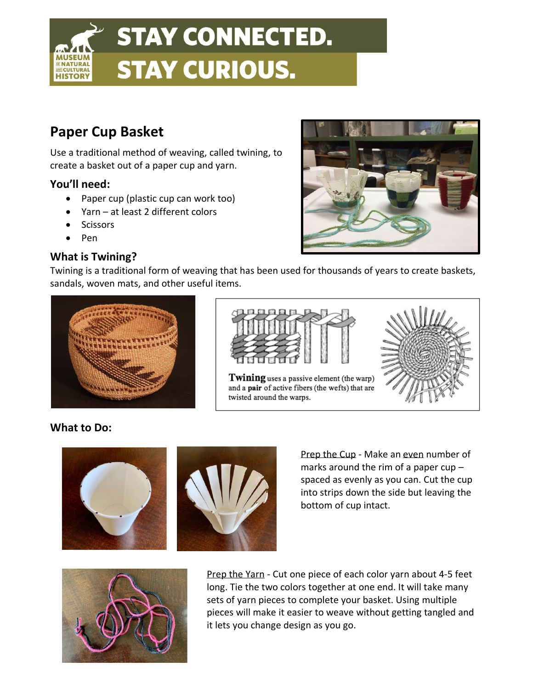

# **Paper Cup Basket**

Use a traditional method of weaving, called twining, to create a basket out of a paper cup and yarn.

## **You'll need:**

- Paper cup (plastic cup can work too)
- Yarn at least 2 different colors
- **Scissors**
- Pen

## **What is Twining?**

Twining is a traditional form of weaving that has been used for thousands of years to create baskets, sandals, woven mats, and other useful items.





Twining uses a passive element (the warp) and a pair of active fibers (the wefts) that are twisted around the warps.



### **What to Do:**





Prep the Cup - Make an even number of marks around the rim of a paper cup – spaced as evenly as you can. Cut the cup into strips down the side but leaving the bottom of cup intact.



Prep the Yarn - Cut one piece of each color yarn about 4-5 feet long. Tie the two colors together at one end. It will take many sets of yarn pieces to complete your basket. Using multiple pieces will make it easier to weave without getting tangled and it lets you change design as you go.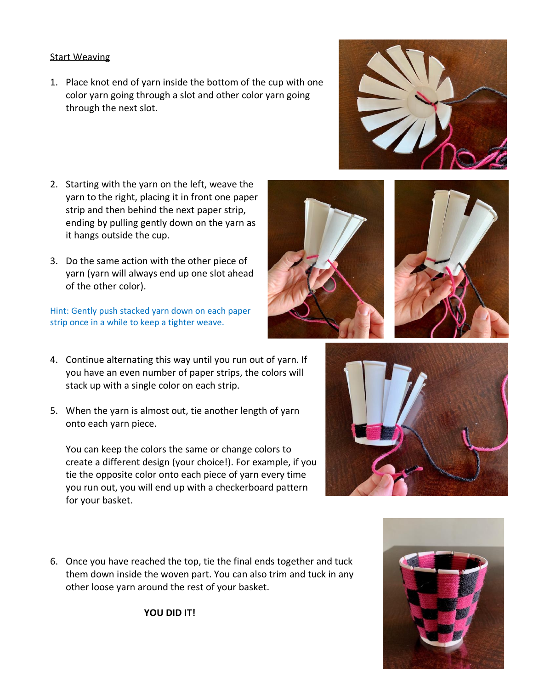#### Start Weaving

- 1. Place knot end of yarn inside the bottom of the cup with one color yarn going through a slot and other color yarn going through the next slot.
- 2. Starting with the yarn on the left, weave the yarn to the right, placing it in front one paper strip and then behind the next paper strip, ending by pulling gently down on the yarn as it hangs outside the cup.
- 3. Do the same action with the other piece of yarn (yarn will always end up one slot ahead of the other color).

Hint: Gently push stacked yarn down on each paper strip once in a while to keep a tighter weave.

- 4. Continue alternating this way until you run out of yarn. If you have an even number of paper strips, the colors will stack up with a single color on each strip.
- 5. When the yarn is almost out, tie another length of yarn onto each yarn piece.

You can keep the colors the same or change colors to create a different design (your choice!). For example, if you tie the opposite color onto each piece of yarn every time you run out, you will end up with a checkerboard pattern for your basket.

6. Once you have reached the top, tie the final ends together and tuck them down inside the woven part. You can also trim and tuck in any other loose yarn around the rest of your basket.

**YOU DID IT!**